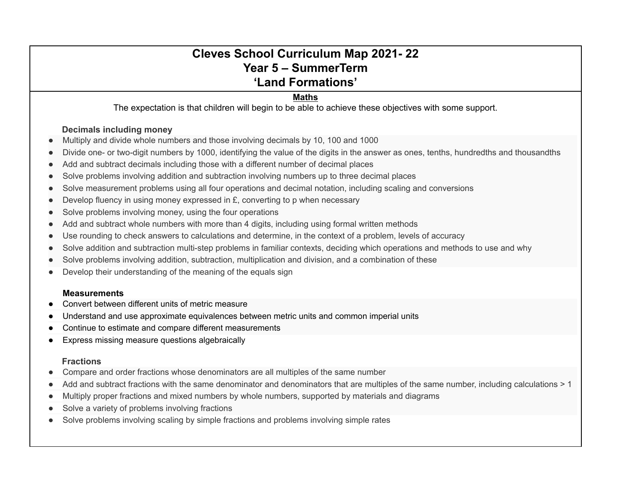# **Cleves School Curriculum Map 2021- 22 Year 5 – SummerTerm 'Land Formations'**

# **Maths**

The expectation is that children will begin to be able to achieve these objectives with some support.

### **Decimals including money**

- Multiply and divide whole numbers and those involving decimals by 10, 100 and 1000
- Divide one- or two-digit numbers by 1000, identifying the value of the digits in the answer as ones, tenths, hundredths and thousandths
- Add and subtract decimals including those with a different number of decimal places
- Solve problems involving addition and subtraction involving numbers up to three decimal places
- Solve measurement problems using all four operations and decimal notation, including scaling and conversions
- Develop fluency in using money expressed in  $E$ , converting to p when necessary
- Solve problems involving money, using the four operations
- Add and subtract whole numbers with more than 4 digits, including using formal written methods
- Use rounding to check answers to calculations and determine, in the context of a problem, levels of accuracy
- Solve addition and subtraction multi-step problems in familiar contexts, deciding which operations and methods to use and why
- Solve problems involving addition, subtraction, multiplication and division, and a combination of these
- Develop their understanding of the meaning of the equals sign

#### **Measurements**

- Convert between different units of metric measure
- Understand and use approximate equivalences between metric units and common imperial units
- Continue to estimate and compare different measurements
- Express missing measure questions algebraically

### **Fractions**

- Compare and order fractions whose denominators are all multiples of the same number
- Add and subtract fractions with the same denominator and denominators that are multiples of the same number, including calculations > 1
- Multiply proper fractions and mixed numbers by whole numbers, supported by materials and diagrams
- Solve a variety of problems involving fractions
- Solve problems involving scaling by simple fractions and problems involving simple rates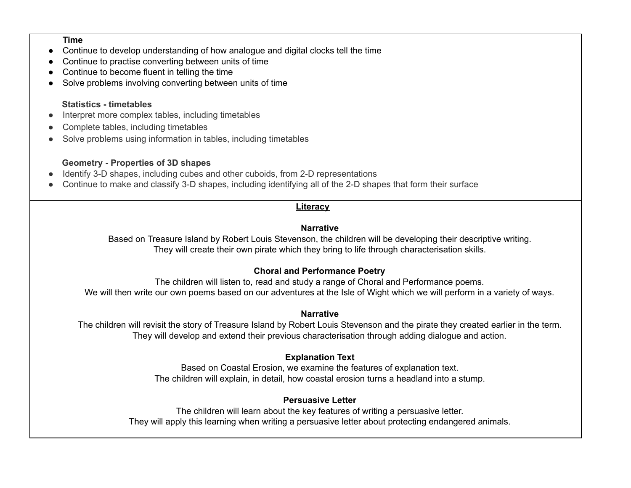#### **Time**

- Continue to develop understanding of how analogue and digital clocks tell the time
- Continue to practise converting between units of time
- Continue to become fluent in telling the time
- Solve problems involving converting between units of time

#### **Statistics - timetables**

- Interpret more complex tables, including timetables
- Complete tables, including timetables
- Solve problems using information in tables, including timetables

# **Geometry - Properties of 3D shapes**

- Identify 3-D shapes, including cubes and other cuboids, from 2-D representations
- Continue to make and classify 3-D shapes, including identifying all of the 2-D shapes that form their surface

# **Literacy**

# **Narrative**

Based on Treasure Island by Robert Louis Stevenson, the children will be developing their descriptive writing. They will create their own pirate which they bring to life through characterisation skills.

# **Choral and Performance Poetry**

The children will listen to, read and study a range of Choral and Performance poems. We will then write our own poems based on our adventures at the Isle of Wight which we will perform in a variety of ways.

### **Narrative**

The children will revisit the story of Treasure Island by Robert Louis Stevenson and the pirate they created earlier in the term. They will develop and extend their previous characterisation through adding dialogue and action.

# **Explanation Text**

Based on Coastal Erosion, we examine the features of explanation text. The children will explain, in detail, how coastal erosion turns a headland into a stump.

### **Persuasive Letter**

The children will learn about the key features of writing a persuasive letter. They will apply this learning when writing a persuasive letter about protecting endangered animals.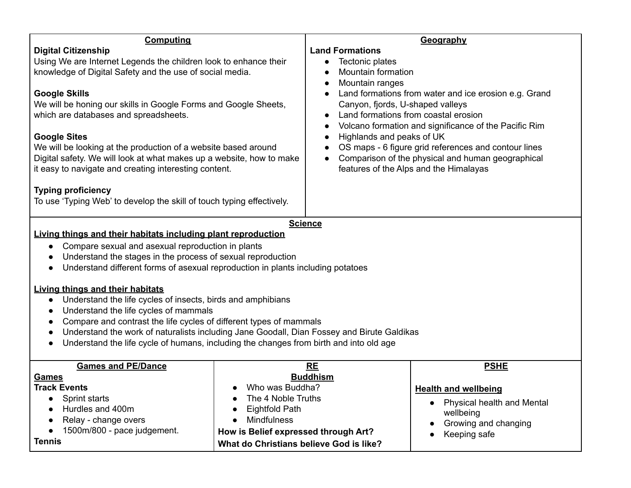| <b>Computing</b>                                                                                                                                                                                                                                                                                                                                                                                                                                                                                                                                                                                                                                                                                                                                       |                                                                                                                                                                                                    | Geography                                                                                                                                                                                                                                                                                                                                                                                                                                                            |                                                                                                                               |  |
|--------------------------------------------------------------------------------------------------------------------------------------------------------------------------------------------------------------------------------------------------------------------------------------------------------------------------------------------------------------------------------------------------------------------------------------------------------------------------------------------------------------------------------------------------------------------------------------------------------------------------------------------------------------------------------------------------------------------------------------------------------|----------------------------------------------------------------------------------------------------------------------------------------------------------------------------------------------------|----------------------------------------------------------------------------------------------------------------------------------------------------------------------------------------------------------------------------------------------------------------------------------------------------------------------------------------------------------------------------------------------------------------------------------------------------------------------|-------------------------------------------------------------------------------------------------------------------------------|--|
| <b>Digital Citizenship</b><br>Using We are Internet Legends the children look to enhance their<br>knowledge of Digital Safety and the use of social media.<br><b>Google Skills</b><br>We will be honing our skills in Google Forms and Google Sheets,<br>which are databases and spreadsheets.<br><b>Google Sites</b><br>We will be looking at the production of a website based around<br>Digital safety. We will look at what makes up a website, how to make<br>it easy to navigate and creating interesting content.<br><b>Typing proficiency</b><br>To use 'Typing Web' to develop the skill of touch typing effectively.                                                                                                                         |                                                                                                                                                                                                    | <b>Land Formations</b><br>Tectonic plates<br>Mountain formation<br>Mountain ranges<br>Land formations from water and ice erosion e.g. Grand<br>Canyon, fjords, U-shaped valleys<br>Land formations from coastal erosion<br>Volcano formation and significance of the Pacific Rim<br>Highlands and peaks of UK<br>OS maps - 6 figure grid references and contour lines<br>Comparison of the physical and human geographical<br>features of the Alps and the Himalayas |                                                                                                                               |  |
| <b>Science</b>                                                                                                                                                                                                                                                                                                                                                                                                                                                                                                                                                                                                                                                                                                                                         |                                                                                                                                                                                                    |                                                                                                                                                                                                                                                                                                                                                                                                                                                                      |                                                                                                                               |  |
| Living things and their habitats including plant reproduction<br>Compare sexual and asexual reproduction in plants<br>$\bullet$<br>Understand the stages in the process of sexual reproduction<br>Understand different forms of asexual reproduction in plants including potatoes<br>$\bullet$<br><b>Living things and their habitats</b><br>Understand the life cycles of insects, birds and amphibians<br>$\bullet$<br>Understand the life cycles of mammals<br>Compare and contrast the life cycles of different types of mammals<br>$\bullet$<br>Understand the work of naturalists including Jane Goodall, Dian Fossey and Birute Galdikas<br>Understand the life cycle of humans, including the changes from birth and into old age<br>$\bullet$ |                                                                                                                                                                                                    |                                                                                                                                                                                                                                                                                                                                                                                                                                                                      |                                                                                                                               |  |
| <b>Games and PE/Dance</b><br><b>Games</b><br><b>Track Events</b><br>Sprint starts<br>Hurdles and 400m<br>Relay - change overs<br>1500m/800 - pace judgement.<br><b>Tennis</b>                                                                                                                                                                                                                                                                                                                                                                                                                                                                                                                                                                          | RE<br><b>Buddhism</b><br>• Who was Buddha?<br>The 4 Noble Truths<br><b>Eightfold Path</b><br><b>Mindfulness</b><br>How is Belief expressed through Art?<br>What do Christians believe God is like? |                                                                                                                                                                                                                                                                                                                                                                                                                                                                      | <b>PSHE</b><br><b>Health and wellbeing</b><br>Physical health and Mental<br>wellbeing<br>Growing and changing<br>Keeping safe |  |